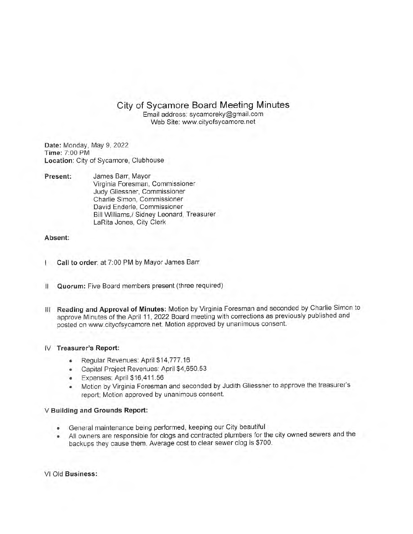City of Sycamore Board Meeting Minutes

Email address: sycamoreky@gmail.com Web Site: www.cityofsycamore.net

Date: Monday, May 9, 2022 Time: 7:00 PM Location: City of Sycamore, Clubhouse

Present: James Barr, Mayor Virginia Foresman, Commissioner Judy Gliessner, Commissioner Charlie Simon, Commissioner David Enderle, Commissioner Bill Williams,/ Sidney Leonard, Treasurer LaRita Jones, City Clerk

# Absent:

- Call to order: at 7:00 PM by Mayor James Barr
- II Quorum: Five Board members present (three required)
- III Reading and Approval of Minutes: Motion by Virginia Foresman and seconded by Charlie Simon to approve Minutes of the April 11, 2022 Board meeting with corrections as previously published and posted on www.cityofsycamore.net. Motion approved by unanimous consent.

# IV Treasurer's Report:

- Regular Revenues: April \$14,777.16
- Capital Project Revenues: April \$4,650.53
- Expenses: April \$16,411.56
- Motion by Virginia Foresman and seconded by Judith Gliessner to approve the treasurer's report; Motion approved by unanimous consent.

# V Building and Grounds Report:

- General maintenance being performed, keeping our City beautiful
- All owners are responsible for clogs and contracted plumbers for the city owned sewers and the backups they cause them. Average cost to clear sewer clog is \$700.

VI Old Business: